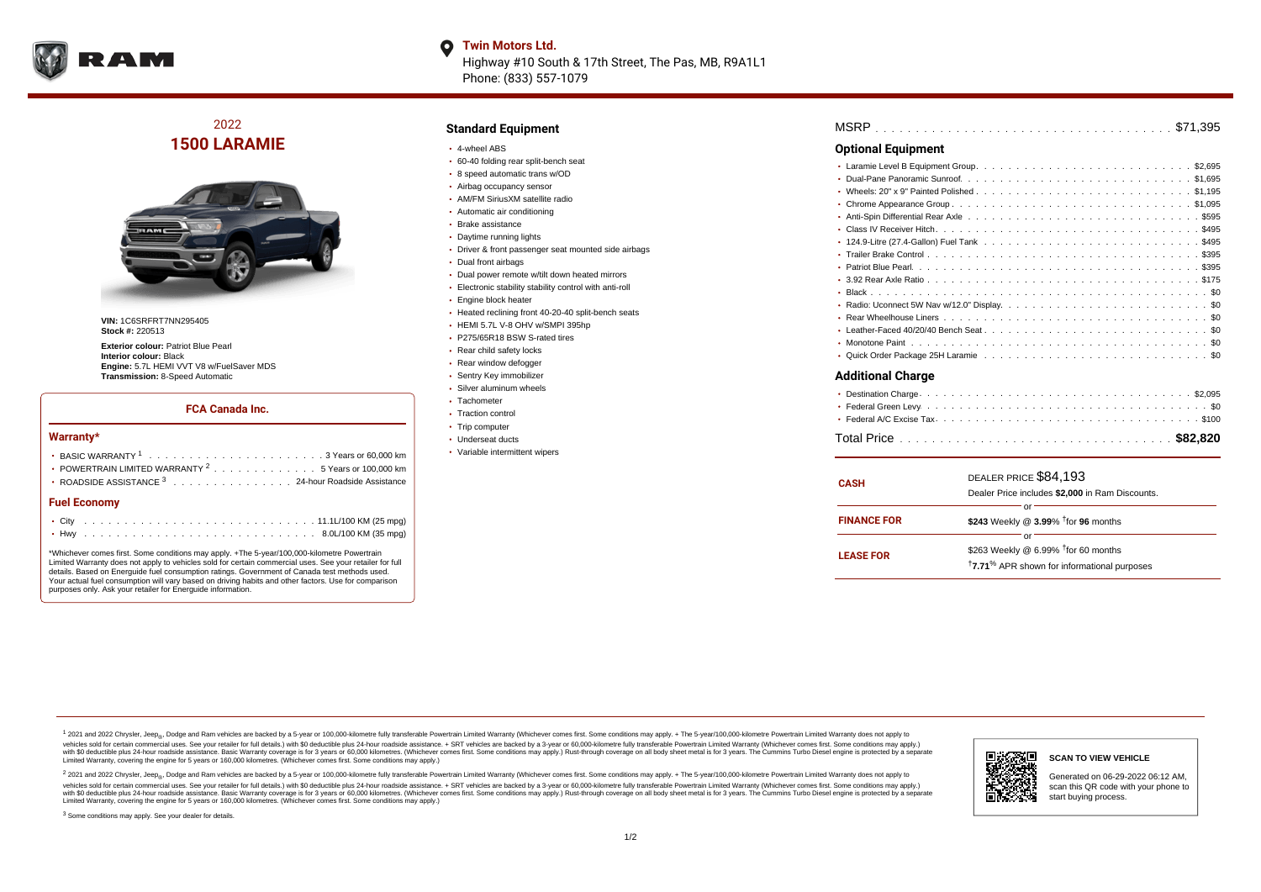

### **Twin Motors Ltd.**

Highway #10 South & 17th Street, The Pas, MB, R9A1L1 Phone: (833) 557-1079

## 2022 **1500 LARAMIE**



**VIN:** 1C6SRFRT7NN295405 **Stock #:** 220513

**Exterior colour:** Patriot Blue Pearl **Interior colour:** Black **Engine:** 5.7L HEMI VVT V8 w/FuelSaver MDS **Transmission:** 8-Speed Automatic

#### **FCA Canada Inc.**

#### **Warranty\***

| <b>Fuel Economy</b>                                              |  |  |  |  |  |
|------------------------------------------------------------------|--|--|--|--|--|
| ROADSIDE ASSISTANCE <sup>3</sup> 24-hour Roadside Assistance     |  |  |  |  |  |
| • POWERTRAIN LIMITED WARRANTY <sup>2</sup> 5 Years or 100,000 km |  |  |  |  |  |
|                                                                  |  |  |  |  |  |
|                                                                  |  |  |  |  |  |

\*Whichever comes first. Some conditions may apply. +The 5-year/100,000-kilometre Powertrain Limited Warranty does not apply to vehicles sold for certain commercial uses. See your retailer for full details. Based on Energuide fuel consumption ratings. Government of Canada test methods used. Your actual fuel consumption will vary based on driving habits and other factors. Use for comparison purposes only. Ask your retailer for Energuide information.

#### **Standard Equipment**

- 4-wheel ABS
- 60-40 folding rear split-bench seat
- 8 speed automatic trans w/OD
- Airbag occupancy sensor
- AM/FM SiriusXM satellite radio Automatic air conditioning
- Brake assistance
- Daytime running lights
- Driver & front passenger seat mounted side airbags
- Dual front airbags
- Dual power remote w/tilt down heated mirrors
- Electronic stability stability control with anti-roll
- Engine block heater
- Heated reclining front 40-20-40 split-bench seats
- HEMI 5.7L V-8 OHV w/SMPI 395hp
- P275/65R18 BSW S-rated tires
- Rear child safety locks
- Rear window defogger
- Sentry Key immobilizer
- Silver aluminum wheels
- Tachometer
- Traction control
- Trip computer
- Underseat ducts
- Variable intermittent wipers

| <b>MSRP</b> |  |  |  |  |  |  |  |  |  |  |  |  |  |  |  |  |  |  |  |  |  |  |  |  |  |  |  |  |  |  |  |  |  |  |  |  |  |  |  |  |
|-------------|--|--|--|--|--|--|--|--|--|--|--|--|--|--|--|--|--|--|--|--|--|--|--|--|--|--|--|--|--|--|--|--|--|--|--|--|--|--|--|--|
|-------------|--|--|--|--|--|--|--|--|--|--|--|--|--|--|--|--|--|--|--|--|--|--|--|--|--|--|--|--|--|--|--|--|--|--|--|--|--|--|--|--|

#### **Optional Equipment**

#### **Additional Charge**

| <b>CASH</b>        | DEALER PRICE \$84,193<br>Dealer Price includes \$2,000 in Ram Discounts.                                                     |  |  |  |  |  |  |  |  |  |  |
|--------------------|------------------------------------------------------------------------------------------------------------------------------|--|--|--|--|--|--|--|--|--|--|
| <b>FINANCE FOR</b> | or<br>\$243 Weekly @ 3.99% <sup>T</sup> for 96 months                                                                        |  |  |  |  |  |  |  |  |  |  |
| <b>LEASE FOR</b>   | Ωľ<br>\$263 Weekly @ 6.99% <sup>1</sup> for 60 months<br><sup>†</sup> 7.71 <sup>%</sup> APR shown for informational purposes |  |  |  |  |  |  |  |  |  |  |

<sup>1</sup> 2021 and 2022 Chrysler, Jeep<sub>®</sub>, Dodge and Ram vehicles are backed by a 5-year or 100,000-kilometre fully transferable Powertrain Limited Warranty (Whichever comes first. Some conditions may apply. + The 5-year/100,000 vehicles sold for certain commercial uses. See your retailer for full details.) with \$0 deductible plus 24-hour roadside assistance. + SRT vehicles are backed by a 3-year or 60,000-kilometre fully transferable Powertrain L versus and contract the mean of the contract of the contract with a contract with a contract the contract of the contract of the contract the contract of the contract of the contract of the contract of the contract of the Limited Warranty, covering the engine for 5 years or 160,000 kilometres. (Whichever comes first. Some conditions may apply.)

2 2021 and 2022 Chrysler, Jeep<sub>®</sub>, Dodge and Ram vehicles are backed by a 5-year or 100,000-kilometre fully transferable Powertrain Limited Warranty (Whichever comes first. Some conditions may apply. + The 5-year/100,000-k vehicles sold for certain commercial uses. See your retailer for full details.) with SO deductible plus 24-hour roadside assistance. + SRT vehicles are backed by a 3-year or 60.000-kilometre fully transferable Powertrain L with S0 deductible plus 24-hour roadside assistance. Basic Warranty coverage is for 3 years or 60,000 kilometres. (Whichever comes first. Some conditions may apply.) Rust-through coverage on all body sheet metal is for 3 y



**SCAN TO VIEW VEHICLE**

Generated on 06-29-2022 06:12 AM, scan this QR code with your phone to start buying process.